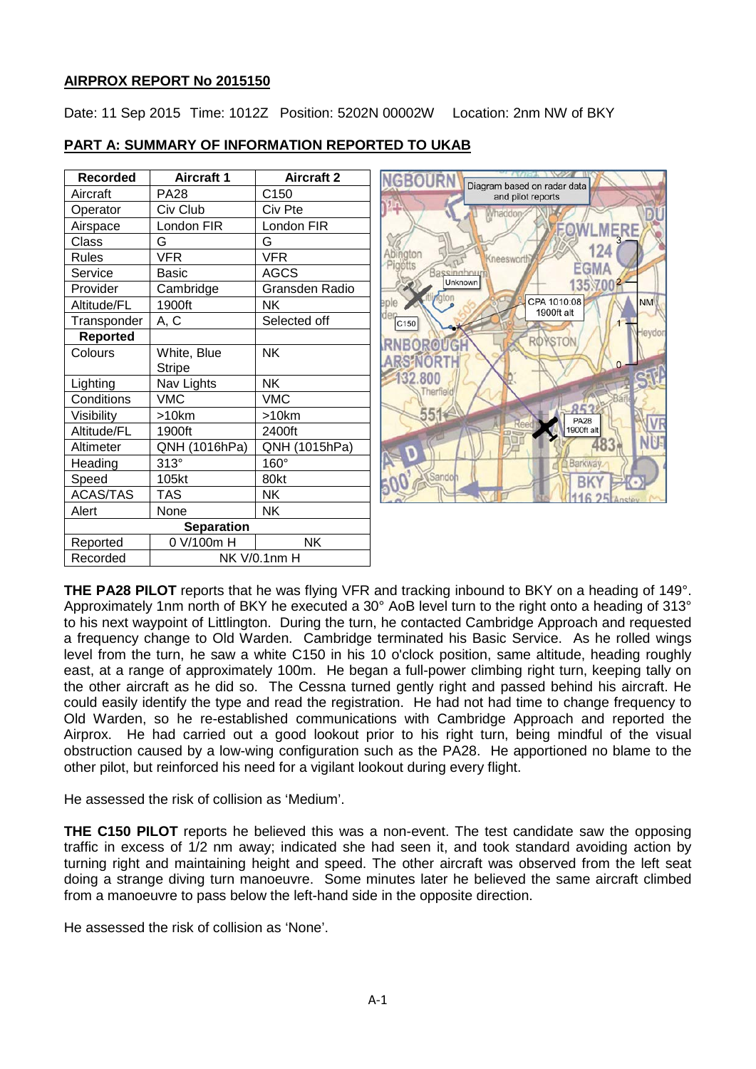## **AIRPROX REPORT No 2015150**

Date: 11 Sep 2015 Time: 1012Z Position: 5202N 00002W Location: 2nm NW of BKY

| <b>Recorded</b>   | <b>Aircraft 1</b> | <b>Aircraft 2</b> |
|-------------------|-------------------|-------------------|
| Aircraft          | <b>PA28</b>       | C <sub>150</sub>  |
| Operator          | Civ Club          | Civ Pte           |
| Airspace          | London FIR        | London FIR        |
| Class             | G                 | G                 |
| <b>Rules</b>      | <b>VFR</b>        | <b>VFR</b>        |
| Service           | Basic             | <b>AGCS</b>       |
| Provider          | Cambridge         | Gransden Radio    |
| Altitude/FL       | 1900ft            | NK                |
| Transponder       | <u>A, C</u>       | Selected off      |
| <b>Reported</b>   |                   |                   |
| Colours           | White, Blue       | <b>NK</b>         |
|                   | Stripe            |                   |
| Lighting          | Nav Lights        | <b>NK</b>         |
| Conditions        | <b>VMC</b>        | <b>VMC</b>        |
| Visibility        | >10km             | >10km             |
| Altitude/FL       | 1900ft            | 2400ft            |
| Altimeter         | QNH (1016hPa)     | QNH (1015hPa)     |
| Heading           | $313^\circ$       | 160°              |
| Speed             | 105kt             | 80kt              |
| <b>ACAS/TAS</b>   | TAS               | NΚ                |
| Alert             | None              | NK                |
| <b>Separation</b> |                   |                   |
| Reported          | 0 V/100m H        | <b>NK</b>         |
| Recorded          | NK V/0.1nm H      |                   |

# **PART A: SUMMARY OF INFORMATION REPORTED TO UKAB**



**THE PA28 PILOT** reports that he was flying VFR and tracking inbound to BKY on a heading of 149°. Approximately 1nm north of BKY he executed a 30° AoB level turn to the right onto a heading of 313° to his next waypoint of Littlington. During the turn, he contacted Cambridge Approach and requested a frequency change to Old Warden. Cambridge terminated his Basic Service. As he rolled wings level from the turn, he saw a white C150 in his 10 o'clock position, same altitude, heading roughly east, at a range of approximately 100m. He began a full-power climbing right turn, keeping tally on the other aircraft as he did so. The Cessna turned gently right and passed behind his aircraft. He could easily identify the type and read the registration. He had not had time to change frequency to Old Warden, so he re-established communications with Cambridge Approach and reported the Airprox. He had carried out a good lookout prior to his right turn, being mindful of the visual obstruction caused by a low-wing configuration such as the PA28. He apportioned no blame to the other pilot, but reinforced his need for a vigilant lookout during every flight.

He assessed the risk of collision as 'Medium'.

**THE C150 PILOT** reports he believed this was a non-event. The test candidate saw the opposing traffic in excess of 1/2 nm away; indicated she had seen it, and took standard avoiding action by turning right and maintaining height and speed. The other aircraft was observed from the left seat doing a strange diving turn manoeuvre. Some minutes later he believed the same aircraft climbed from a manoeuvre to pass below the left-hand side in the opposite direction.

He assessed the risk of collision as 'None'.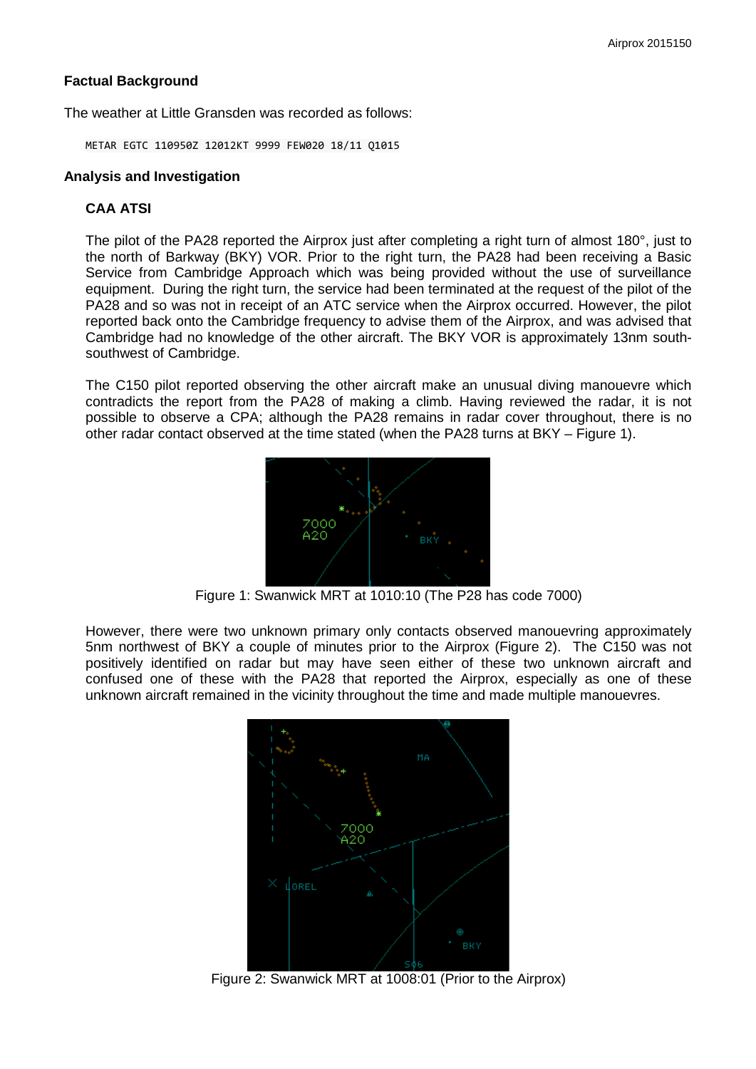## **Factual Background**

The weather at Little Gransden was recorded as follows:

METAR EGTC 110950Z 12012KT 9999 FEW020 18/11 Q1015

### **Analysis and Investigation**

### **CAA ATSI**

The pilot of the PA28 reported the Airprox just after completing a right turn of almost 180°, just to the north of Barkway (BKY) VOR. Prior to the right turn, the PA28 had been receiving a Basic Service from Cambridge Approach which was being provided without the use of surveillance equipment. During the right turn, the service had been terminated at the request of the pilot of the PA28 and so was not in receipt of an ATC service when the Airprox occurred. However, the pilot reported back onto the Cambridge frequency to advise them of the Airprox, and was advised that Cambridge had no knowledge of the other aircraft. The BKY VOR is approximately 13nm southsouthwest of Cambridge.

The C150 pilot reported observing the other aircraft make an unusual diving manouevre which contradicts the report from the PA28 of making a climb. Having reviewed the radar, it is not possible to observe a CPA; although the PA28 remains in radar cover throughout, there is no other radar contact observed at the time stated (when the PA28 turns at BKY – Figure 1).



Figure 1: Swanwick MRT at 1010:10 (The P28 has code 7000)

However, there were two unknown primary only contacts observed manouevring approximately 5nm northwest of BKY a couple of minutes prior to the Airprox (Figure 2). The C150 was not positively identified on radar but may have seen either of these two unknown aircraft and confused one of these with the PA28 that reported the Airprox, especially as one of these unknown aircraft remained in the vicinity throughout the time and made multiple manouevres.



Figure 2: Swanwick MRT at 1008:01 (Prior to the Airprox)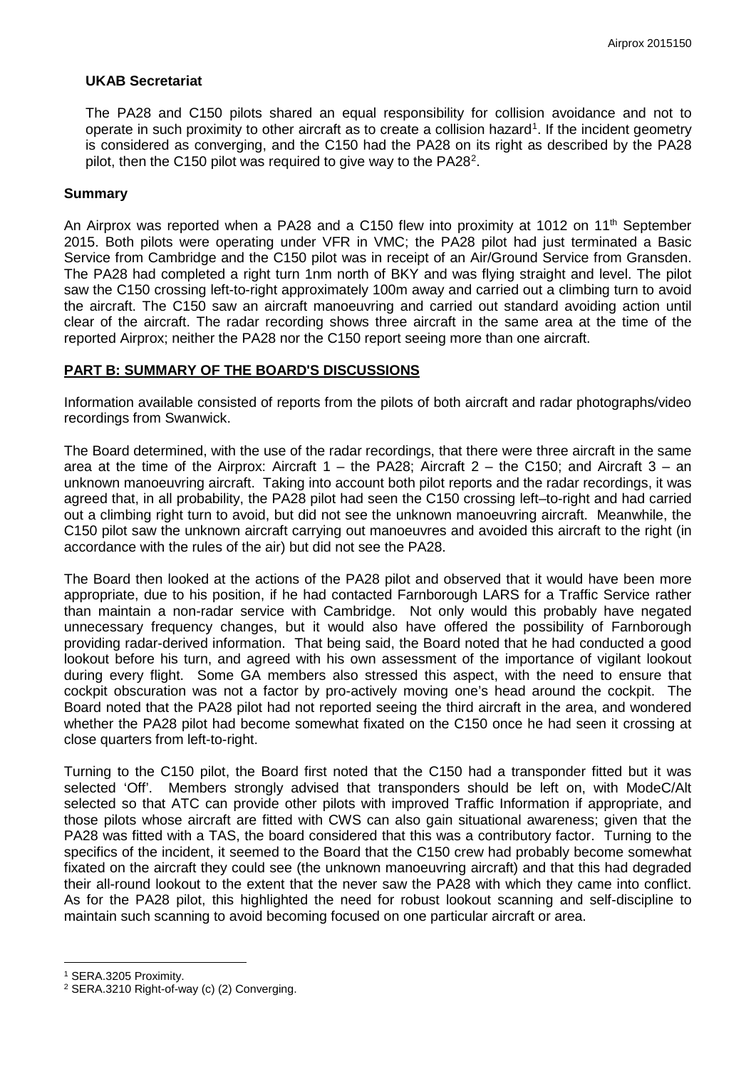#### **UKAB Secretariat**

The PA28 and C150 pilots shared an equal responsibility for collision avoidance and not to operate in such proximity to other aircraft as to create a collision hazard<sup>[1](#page-2-0)</sup>. If the incident geometry is considered as converging, and the C150 had the PA28 on its right as described by the PA28 pilot, then the C150 pilot was required to give way to the PA[2](#page-2-1)8<sup>2</sup>.

#### **Summary**

An Airprox was reported when a PA28 and a C150 flew into proximity at 1012 on 11<sup>th</sup> September 2015. Both pilots were operating under VFR in VMC; the PA28 pilot had just terminated a Basic Service from Cambridge and the C150 pilot was in receipt of an Air/Ground Service from Gransden. The PA28 had completed a right turn 1nm north of BKY and was flying straight and level. The pilot saw the C150 crossing left-to-right approximately 100m away and carried out a climbing turn to avoid the aircraft. The C150 saw an aircraft manoeuvring and carried out standard avoiding action until clear of the aircraft. The radar recording shows three aircraft in the same area at the time of the reported Airprox; neither the PA28 nor the C150 report seeing more than one aircraft.

#### **PART B: SUMMARY OF THE BOARD'S DISCUSSIONS**

Information available consisted of reports from the pilots of both aircraft and radar photographs/video recordings from Swanwick.

The Board determined, with the use of the radar recordings, that there were three aircraft in the same area at the time of the Airprox: Aircraft  $1 -$  the PA28; Aircraft  $2 -$  the C150; and Aircraft  $3 -$  an unknown manoeuvring aircraft. Taking into account both pilot reports and the radar recordings, it was agreed that, in all probability, the PA28 pilot had seen the C150 crossing left–to-right and had carried out a climbing right turn to avoid, but did not see the unknown manoeuvring aircraft. Meanwhile, the C150 pilot saw the unknown aircraft carrying out manoeuvres and avoided this aircraft to the right (in accordance with the rules of the air) but did not see the PA28.

The Board then looked at the actions of the PA28 pilot and observed that it would have been more appropriate, due to his position, if he had contacted Farnborough LARS for a Traffic Service rather than maintain a non-radar service with Cambridge. Not only would this probably have negated unnecessary frequency changes, but it would also have offered the possibility of Farnborough providing radar-derived information. That being said, the Board noted that he had conducted a good lookout before his turn, and agreed with his own assessment of the importance of vigilant lookout during every flight. Some GA members also stressed this aspect, with the need to ensure that cockpit obscuration was not a factor by pro-actively moving one's head around the cockpit. The Board noted that the PA28 pilot had not reported seeing the third aircraft in the area, and wondered whether the PA28 pilot had become somewhat fixated on the C150 once he had seen it crossing at close quarters from left-to-right.

Turning to the C150 pilot, the Board first noted that the C150 had a transponder fitted but it was selected 'Off'. Members strongly advised that transponders should be left on, with ModeC/Alt selected so that ATC can provide other pilots with improved Traffic Information if appropriate, and those pilots whose aircraft are fitted with CWS can also gain situational awareness; given that the PA28 was fitted with a TAS, the board considered that this was a contributory factor. Turning to the specifics of the incident, it seemed to the Board that the C150 crew had probably become somewhat fixated on the aircraft they could see (the unknown manoeuvring aircraft) and that this had degraded their all-round lookout to the extent that the never saw the PA28 with which they came into conflict. As for the PA28 pilot, this highlighted the need for robust lookout scanning and self-discipline to maintain such scanning to avoid becoming focused on one particular aircraft or area.

l

<span id="page-2-0"></span><sup>1</sup> SERA.3205 Proximity.

<span id="page-2-1"></span><sup>2</sup> SERA.3210 Right-of-way (c) (2) Converging.